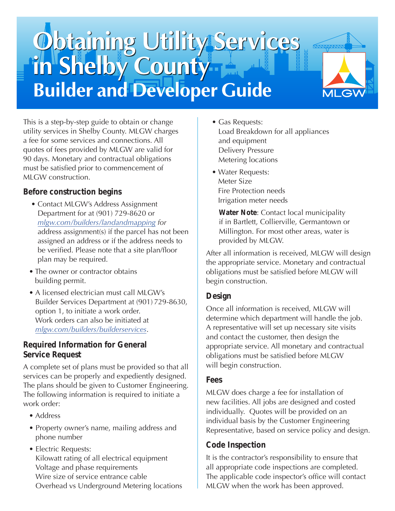# Obtaining Utility Services **Builder and Developer Guide**



This is a step-by-step guide to obtain or change utility services in Shelby County. MLGW charges a fee for some services and connections. All quotes of fees provided by MLGW are valid for 90 days. Monetary and contractual obligations must be satisfied prior to commencement of MLGW construction.

# **Before construction begins**

- Contact MLGW's Address Assignment Department for at (901) 729-8620 or *[mlgw.com/builders/landandmapping](http://mlgw.com/builders/landandmapping) for* address assignment(s) if the parcel has not been assigned an address or if the address needs to be verified. Please note that a site plan/floor plan may be required.
- The owner or contractor obtains building permit.
- A licensed electrician must call MLGW's Builder Services Department at (901) 729-8630, option 1, to initiate a work order. Work orders can also be initiated at *[mlgw.com/builders/builderservices](http://mlgw.com/builders/builderservices)*.

## **Required Information for General Service Request**

A complete set of plans must be provided so that all services can be properly and expediently designed. The plans should be given to Customer Engineering. The following information is required to initiate a work order:

- Address
- Property owner's name, mailing address and phone number
- Electric Requests: Kilowatt rating of all electrical equipment Voltage and phase requirements Wire size of service entrance cable Overhead vs Underground Metering locations
- Gas Requests: Load Breakdown for all appliances and equipment Delivery Pressure Metering locations
- Water Requests: Meter Size Fire Protection needs Irrigation meter needs

 **Water Note**: Contact local municipality if in Bartlett, Collierville, Germantown or Millington. For most other areas, water is provided by MLGW.

After all information is received, MLGW will design the appropriate service. Monetary and contractual obligations must be satisfied before MLGW will begin construction.

# **Design**

Once all information is received, MLGW will determine which department will handle the job. A representative will set up necessary site visits and contact the customer, then design the appropriate service. All monetary and contractual obligations must be satisfied before MLGW will begin construction.

## **Fees**

MLGW does charge a fee for installation of new facilities. All jobs are designed and costed individually. Quotes will be provided on an individual basis by the Customer Engineering Representative, based on service policy and design.

# **Code Inspection**

It is the contractor's responsibility to ensure that all appropriate code inspections are completed. The applicable code inspector's office will contact MLGW when the work has been approved.